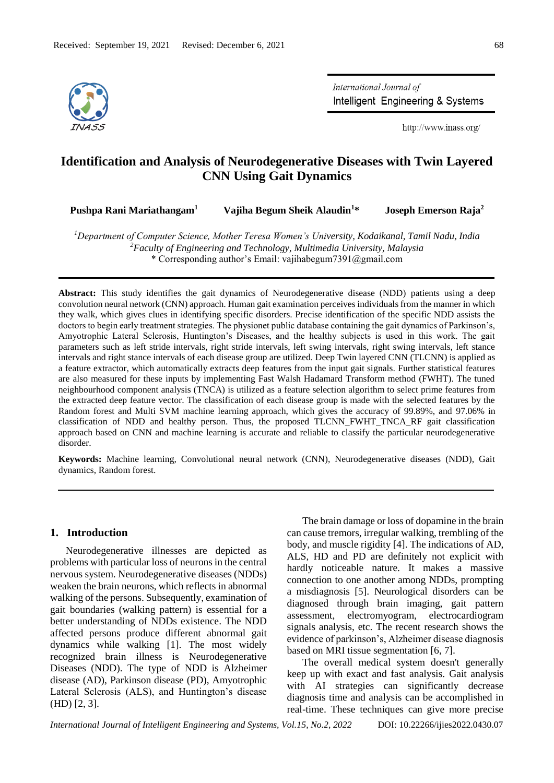

International Journal of Intelligent Engineering & Systems

http://www.inass.org/

# **Identification and Analysis of Neurodegenerative Diseases with Twin Layered CNN Using Gait Dynamics**

| Joseph Emerson Raja <sup>2</sup><br>Vajiha Begum Sheik Alaudin <sup>1*</sup><br>Pushpa Rani Mariathangam <sup>1</sup> |  |
|-----------------------------------------------------------------------------------------------------------------------|--|
|-----------------------------------------------------------------------------------------------------------------------|--|

*<sup>1</sup>Department of Computer Science, Mother Teresa Women's University, Kodaikanal, Tamil Nadu, India <sup>2</sup>Faculty of Engineering and Technology, Multimedia University, Malaysia* \* Corresponding author's Email: vajihabegum7391@gmail.com

**Abstract:** This study identifies the gait dynamics of Neurodegenerative disease (NDD) patients using a deep convolution neural network (CNN) approach. Human gait examination perceives individuals from the manner in which they walk, which gives clues in identifying specific disorders. Precise identification of the specific NDD assists the doctors to begin early treatment strategies. The physionet public database containing the gait dynamics of Parkinson's, Amyotrophic Lateral Sclerosis, Huntington's Diseases, and the healthy subjects is used in this work. The gait parameters such as left stride intervals, right stride intervals, left swing intervals, right swing intervals, left stance intervals and right stance intervals of each disease group are utilized. Deep Twin layered CNN (TLCNN) is applied as a feature extractor, which automatically extracts deep features from the input gait signals. Further statistical features are also measured for these inputs by implementing Fast Walsh Hadamard Transform method (FWHT). The tuned neighbourhood component analysis (TNCA) is utilized as a feature selection algorithm to select prime features from the extracted deep feature vector. The classification of each disease group is made with the selected features by the Random forest and Multi SVM machine learning approach, which gives the accuracy of 99.89%, and 97.06% in classification of NDD and healthy person. Thus, the proposed TLCNN\_FWHT\_TNCA\_RF gait classification approach based on CNN and machine learning is accurate and reliable to classify the particular neurodegenerative disorder.

**Keywords:** Machine learning, Convolutional neural network (CNN), Neurodegenerative diseases (NDD), Gait dynamics, Random forest.

# **1. Introduction**

Neurodegenerative illnesses are depicted as problems with particular loss of neurons in the central nervous system. Neurodegenerative diseases (NDDs) weaken the brain neurons, which reflects in abnormal walking of the persons. Subsequently, examination of gait boundaries (walking pattern) is essential for a better understanding of NDDs existence. The NDD affected persons produce different abnormal gait dynamics while walking [1]. The most widely recognized brain illness is Neurodegenerative Diseases (NDD). The type of NDD is Alzheimer disease (AD), Parkinson disease (PD), Amyotrophic Lateral Sclerosis (ALS), and Huntington's disease (HD) [2, 3].

The brain damage or loss of dopamine in the brain can cause tremors, irregular walking, trembling of the body, and muscle rigidity [4]. The indications of AD, ALS, HD and PD are definitely not explicit with hardly noticeable nature. It makes a massive connection to one another among NDDs, prompting a misdiagnosis [5]. Neurological disorders can be diagnosed through brain imaging, gait pattern assessment, electromyogram, electrocardiogram signals analysis, etc. The recent research shows the evidence of parkinson's, Alzheimer disease diagnosis based on MRI tissue segmentation [6, 7].

The overall medical system doesn't generally keep up with exact and fast analysis. Gait analysis with AI strategies can significantly decrease diagnosis time and analysis can be accomplished in real-time. These techniques can give more precise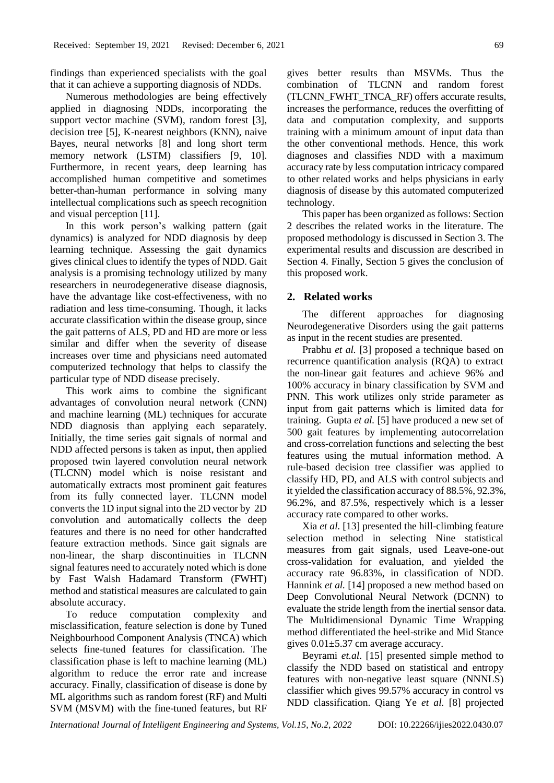findings than experienced specialists with the goal that it can achieve a supporting diagnosis of NDDs.

Numerous methodologies are being effectively applied in diagnosing NDDs, incorporating the support vector machine (SVM), random forest [3], decision tree [5], K-nearest neighbors (KNN), naive Bayes, neural networks [8] and long short term memory network (LSTM) classifiers [9, 10]. Furthermore, in recent years, deep learning has accomplished human competitive and sometimes better-than-human performance in solving many intellectual complications such as speech recognition and visual perception [11].

In this work person's walking pattern (gait dynamics) is analyzed for NDD diagnosis by deep learning technique. Assessing the gait dynamics gives clinical clues to identify the types of NDD. Gait analysis is a promising technology utilized by many researchers in neurodegenerative disease diagnosis, have the advantage like cost-effectiveness, with no radiation and less time-consuming. Though, it lacks accurate classification within the disease group, since the gait patterns of ALS, PD and HD are more or less similar and differ when the severity of disease increases over time and physicians need automated computerized technology that helps to classify the particular type of NDD disease precisely.

This work aims to combine the significant advantages of convolution neural network (CNN) and machine learning (ML) techniques for accurate NDD diagnosis than applying each separately. Initially, the time series gait signals of normal and NDD affected persons is taken as input, then applied proposed twin layered convolution neural network (TLCNN) model which is noise resistant and automatically extracts most prominent gait features from its fully connected layer. TLCNN model converts the 1D input signal into the 2D vector by 2D convolution and automatically collects the deep features and there is no need for other handcrafted feature extraction methods. Since gait signals are non-linear, the sharp discontinuities in TLCNN signal features need to accurately noted which is done by Fast Walsh Hadamard Transform (FWHT) method and statistical measures are calculated to gain absolute accuracy.

To reduce computation complexity and misclassification, feature selection is done by Tuned Neighbourhood Component Analysis (TNCA) which selects fine-tuned features for classification. The classification phase is left to machine learning (ML) algorithm to reduce the error rate and increase accuracy. Finally, classification of disease is done by ML algorithms such as random forest (RF) and Multi SVM (MSVM) with the fine-tuned features, but RF gives better results than MSVMs. Thus the combination of TLCNN and random forest (TLCNN\_FWHT\_TNCA\_RF) offers accurate results, increases the performance, reduces the overfitting of data and computation complexity, and supports training with a minimum amount of input data than the other conventional methods. Hence, this work diagnoses and classifies NDD with a maximum accuracy rate by less computation intricacy compared to other related works and helps physicians in early diagnosis of disease by this automated computerized technology.

This paper has been organized as follows: Section 2 describes the related works in the literature. The proposed methodology is discussed in Section 3. The experimental results and discussion are described in Section 4. Finally, Section 5 gives the conclusion of this proposed work.

## **2. Related works**

The different approaches for diagnosing Neurodegenerative Disorders using the gait patterns as input in the recent studies are presented.

Prabhu *et al.* [3] proposed a technique based on recurrence quantification analysis (RQA) to extract the non-linear gait features and achieve 96% and 100% accuracy in binary classification by SVM and PNN. This work utilizes only stride parameter as input from gait patterns which is limited data for training. Gupta *et al.* [5] have produced a new set of 500 gait features by implementing autocorrelation and cross-correlation functions and selecting the best features using the mutual information method. A rule-based decision tree classifier was applied to classify HD, PD, and ALS with control subjects and it yielded the classification accuracy of 88.5%, 92.3%, 96.2%, and 87.5%, respectively which is a lesser accuracy rate compared to other works.

Xia *et al.* [13] presented the hill-climbing feature selection method in selecting Nine statistical measures from gait signals, used Leave-one-out cross-validation for evaluation, and yielded the accuracy rate 96.83%, in classification of NDD. Hannink *et al.* [14] proposed a new method based on Deep Convolutional Neural Network (DCNN) to evaluate the stride length from the inertial sensor data. The Multidimensional Dynamic Time Wrapping method differentiated the heel-strike and Mid Stance gives  $0.01 \pm 5.37$  cm average accuracy.

Beyrami *et.al.* [15] presented simple method to classify the NDD based on statistical and entropy features with non-negative least square (NNNLS) classifier which gives 99.57% accuracy in control vs NDD classification. Qiang Ye *et al.* [8] projected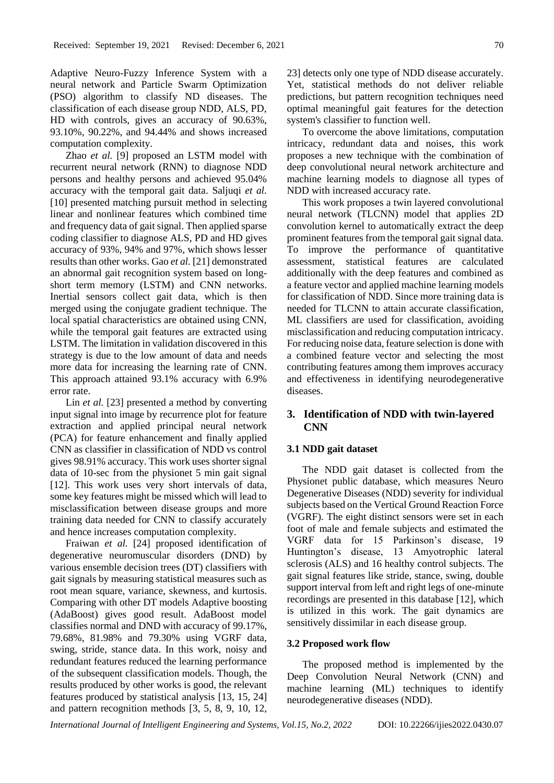Adaptive Neuro-Fuzzy Inference System with a neural network and Particle Swarm Optimization (PSO) algorithm to classify ND diseases. The classification of each disease group NDD, ALS, PD, HD with controls, gives an accuracy of 90.63%, 93.10%, 90.22%, and 94.44% and shows increased computation complexity.

Zhao *et al.* [9] proposed an LSTM model with recurrent neural network (RNN) to diagnose NDD persons and healthy persons and achieved 95.04% accuracy with the temporal gait data. Saljuqi *et al.* [10] presented matching pursuit method in selecting linear and nonlinear features which combined time and frequency data of gait signal. Then applied sparse coding classifier to diagnose ALS, PD and HD gives accuracy of 93%, 94% and 97%, which shows lesser results than other works. Gao *et al.* [21] demonstrated an abnormal gait recognition system based on longshort term memory (LSTM) and CNN networks. Inertial sensors collect gait data, which is then merged using the conjugate gradient technique. The local spatial characteristics are obtained using CNN, while the temporal gait features are extracted using LSTM. The limitation in validation discovered in this strategy is due to the low amount of data and needs more data for increasing the learning rate of CNN. This approach attained 93.1% accuracy with 6.9% error rate.

Lin *et al.* [23] presented a method by converting input signal into image by recurrence plot for feature extraction and applied principal neural network (PCA) for feature enhancement and finally applied CNN as classifier in classification of NDD vs control gives 98.91% accuracy. This work uses shorter signal data of 10-sec from the physionet 5 min gait signal [12]. This work uses very short intervals of data, some key features might be missed which will lead to misclassification between disease groups and more training data needed for CNN to classify accurately and hence increases computation complexity.

Fraiwan *et al.* [24] proposed identification of degenerative neuromuscular disorders (DND) by various ensemble decision trees (DT) classifiers with gait signals by measuring statistical measures such as root mean square, variance, skewness, and kurtosis. Comparing with other DT models Adaptive boosting (AdaBoost) gives good result. AdaBoost model classifies normal and DND with accuracy of 99.17%, 79.68%, 81.98% and 79.30% using VGRF data, swing, stride, stance data. In this work, noisy and redundant features reduced the learning performance of the subsequent classification models. Though, the results produced by other works is good, the relevant features produced by statistical analysis [13, 15, 24] and pattern recognition methods [3, 5, 8, 9, 10, 12,

23] detects only one type of NDD disease accurately. Yet, statistical methods do not deliver reliable predictions, but pattern recognition techniques need optimal meaningful gait features for the detection system's classifier to function well.

To overcome the above limitations, computation intricacy, redundant data and noises, this work proposes a new technique with the combination of deep convolutional neural network architecture and machine learning models to diagnose all types of NDD with increased accuracy rate.

This work proposes a twin layered convolutional neural network (TLCNN) model that applies 2D convolution kernel to automatically extract the deep prominent features from the temporal gait signal data. To improve the performance of quantitative assessment, statistical features are calculated additionally with the deep features and combined as a feature vector and applied machine learning models for classification of NDD. Since more training data is needed for TLCNN to attain accurate classification, ML classifiers are used for classification, avoiding misclassification and reducing computation intricacy. For reducing noise data, feature selection is done with a combined feature vector and selecting the most contributing features among them improves accuracy and effectiveness in identifying neurodegenerative diseases.

# **3. Identification of NDD with twin-layered CNN**

#### **3.1 NDD gait dataset**

The NDD gait dataset is collected from the Physionet public database, which measures Neuro Degenerative Diseases (NDD) severity for individual subjects based on the Vertical Ground Reaction Force (VGRF). The eight distinct sensors were set in each foot of male and female subjects and estimated the VGRF data for 15 Parkinson's disease, 19 Huntington's disease, 13 Amyotrophic lateral sclerosis (ALS) and 16 healthy control subjects. The gait signal features like stride, stance, swing, double support interval from left and right legs of one-minute recordings are presented in this database [12], which is utilized in this work. The gait dynamics are sensitively dissimilar in each disease group.

#### **3.2 Proposed work flow**

The proposed method is implemented by the Deep Convolution Neural Network (CNN) and machine learning (ML) techniques to identify neurodegenerative diseases (NDD).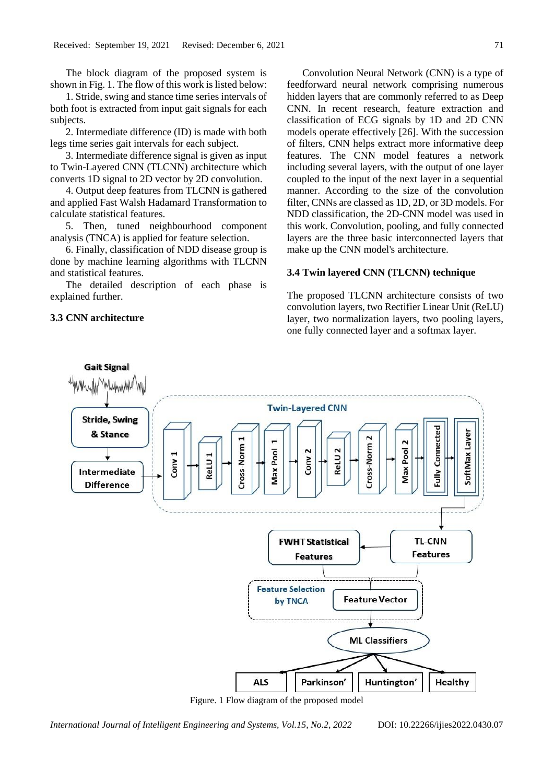The block diagram of the proposed system is shown in Fig. 1. The flow of this work is listed below:

1. Stride, swing and stance time series intervals of both foot is extracted from input gait signals for each subjects.

2. Intermediate difference (ID) is made with both legs time series gait intervals for each subject.

3. Intermediate difference signal is given as input to Twin-Layered CNN (TLCNN) architecture which converts 1D signal to 2D vector by 2D convolution.

4. Output deep features from TLCNN is gathered and applied Fast Walsh Hadamard Transformation to calculate statistical features.

5. Then, tuned neighbourhood component analysis (TNCA) is applied for feature selection.

6. Finally, classification of NDD disease group is done by machine learning algorithms with TLCNN and statistical features.

The detailed description of each phase is explained further.

## **3.3 CNN architecture**

Convolution Neural Network (CNN) is a type of feedforward neural network comprising numerous hidden layers that are commonly referred to as Deep CNN. In recent research, feature extraction and classification of ECG signals by 1D and 2D CNN models operate effectively [26]. With the succession of filters, CNN helps extract more informative deep features. The CNN model features a network including several layers, with the output of one layer coupled to the input of the next layer in a sequential manner. According to the size of the convolution filter, CNNs are classed as 1D, 2D, or 3D models. For NDD classification, the 2D-CNN model was used in this work. Convolution, pooling, and fully connected layers are the three basic interconnected layers that make up the CNN model's architecture.

# **3.4 Twin layered CNN (TLCNN) technique**

The proposed TLCNN architecture consists of two convolution layers, two Rectifier Linear Unit (ReLU) layer, two normalization layers, two pooling layers, one fully connected layer and a softmax layer.



Figure. 1 Flow diagram of the proposed model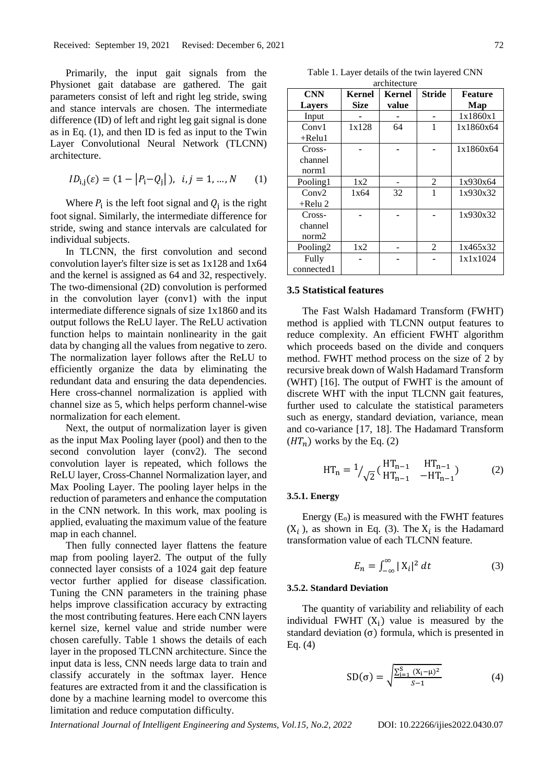Primarily, the input gait signals from the Physionet gait database are gathered. The gait parameters consist of left and right leg stride, swing and stance intervals are chosen. The intermediate difference (ID) of left and right leg gait signal is done as in Eq. (1), and then ID is fed as input to the Twin Layer Convolutional Neural Network (TLCNN) architecture.

$$
ID_{i,j}(\varepsilon) = (1 - |P_i - Q_j|), \ \ i, j = 1, ..., N \qquad (1)
$$

Where  $P_i$  is the left foot signal and  $Q_j$  is the right foot signal. Similarly, the intermediate difference for stride, swing and stance intervals are calculated for individual subjects.

In TLCNN, the first convolution and second convolution layer's filter size is set as 1x128 and 1x64 and the kernel is assigned as 64 and 32, respectively. The two-dimensional (2D) convolution is performed in the convolution layer (conv1) with the input intermediate difference signals of size 1x1860 and its output follows the ReLU layer. The ReLU activation function helps to maintain nonlinearity in the gait data by changing all the values from negative to zero. The normalization layer follows after the ReLU to efficiently organize the data by eliminating the redundant data and ensuring the data dependencies. Here cross-channel normalization is applied with channel size as 5, which helps perform channel-wise normalization for each element.

Next, the output of normalization layer is given as the input Max Pooling layer (pool) and then to the second convolution layer (conv2). The second convolution layer is repeated, which follows the ReLU layer, Cross-Channel Normalization layer, and Max Pooling Layer. The pooling layer helps in the reduction of parameters and enhance the computation in the CNN network. In this work, max pooling is applied, evaluating the maximum value of the feature map in each channel.

Then fully connected layer flattens the feature map from pooling layer2. The output of the fully connected layer consists of a 1024 gait dep feature vector further applied for disease classification. Tuning the CNN parameters in the training phase helps improve classification accuracy by extracting the most contributing features. Here each CNN layers kernel size, kernel value and stride number were chosen carefully. Table 1 shows the details of each layer in the proposed TLCNN architecture. Since the input data is less, CNN needs large data to train and classify accurately in the softmax layer. Hence features are extracted from it and the classification is done by a machine learning model to overcome this limitation and reduce computation difficulty.

Table 1. Layer details of the twin layered CNN architecture

| <b>CNN</b>           | Kernel      | Kernel | Stride         | <b>Feature</b> |
|----------------------|-------------|--------|----------------|----------------|
| <b>Layers</b>        | <b>Size</b> | value  |                | Map            |
| Input                |             |        |                | 1x1860x1       |
| Conv1                | 1x128       | 64     | $\mathbf{1}$   | 1x1860x64      |
| $+$ Relu1            |             |        |                |                |
| Cross-               |             |        |                | 1x1860x64      |
| channel              |             |        |                |                |
| norm1                |             |        |                |                |
| Pooling1             | 1x2         |        | 2              | 1x930x64       |
| Conv2                | 1x64        | 32     |                | 1x930x32       |
| $+$ Relu 2           |             |        |                |                |
| Cross-               |             |        |                | 1x930x32       |
| channel              |             |        |                |                |
| norm <sub>2</sub>    |             |        |                |                |
| Pooling <sub>2</sub> | 1x2         |        | $\overline{c}$ | 1x465x32       |
| Fully                |             |        |                | 1x1x1024       |
| connected1           |             |        |                |                |

#### **3.5 Statistical features**

The Fast Walsh Hadamard Transform (FWHT) method is applied with TLCNN output features to reduce complexity. An efficient FWHT algorithm which proceeds based on the divide and conquers method. FWHT method process on the size of 2 by recursive break down of Walsh Hadamard Transform (WHT) [16]. The output of FWHT is the amount of discrete WHT with the input TLCNN gait features, further used to calculate the statistical parameters such as energy, standard deviation, variance, mean and co-variance [17, 18]. The Hadamard Transform  $(HT_n)$  works by the Eq. (2)

$$
HT_{n} = 1/\sqrt{2}} \left( \begin{array}{cc} HT_{n-1} & HT_{n-1} \\ HT_{n-1} & -HT_{n-1} \end{array} \right) \tag{2}
$$

#### **3.5.1. Energy**

Energy  $(E_n)$  is measured with the FWHT features  $(X_i)$ , as shown in Eq. (3). The  $X_i$  is the Hadamard transformation value of each TLCNN feature.

$$
E_n = \int_{-\infty}^{\infty} |X_i|^2 dt
$$
 (3)

### **3.5.2. Standard Deviation**

The quantity of variability and reliability of each individual FWHT  $(X_i)$  value is measured by the standard deviation  $(\sigma)$  formula, which is presented in Eq. (4)

$$
SD(\sigma) = \sqrt{\frac{\sum_{i=1}^{S} (X_i - \mu)^2}{S - 1}}
$$
(4)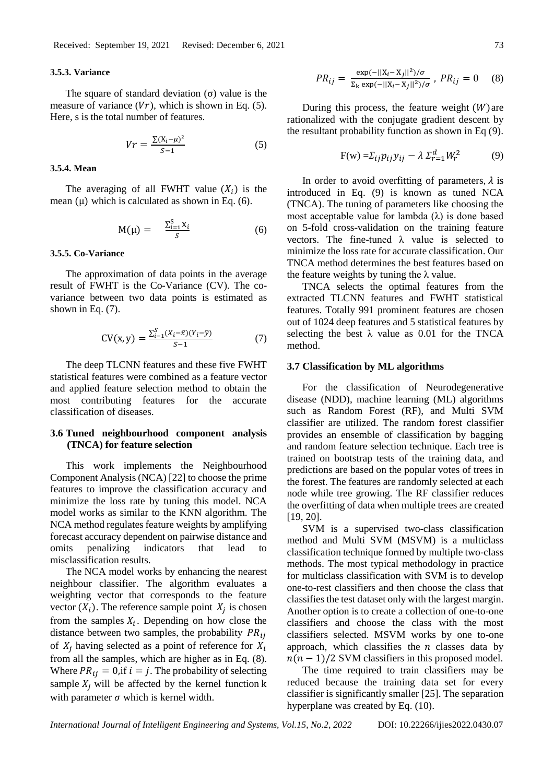#### **3.5.3. Variance**

The square of standard deviation  $(\sigma)$  value is the measure of variance  $(Vr)$ , which is shown in Eq. (5). Here, s is the total number of features.

$$
Vr = \frac{\sum (X_i - \mu)^2}{S - 1}
$$
 (5)

#### **3.5.4. Mean**

The averaging of all FWHT value  $(X_i)$  is the mean  $(\mu)$  which is calculated as shown in Eq. (6).

$$
M(\mu) = \frac{\sum_{i=1}^{S} X_i}{S}
$$
 (6)

#### **3.5.5. Co-Variance**

The approximation of data points in the average result of FWHT is the Co-Variance (CV). The covariance between two data points is estimated as shown in Eq. (7).

$$
CV(x, y) = \frac{\sum_{i=1}^{S} (X_i - \bar{x})(Y_i - \bar{y})}{S - 1}
$$
 (7)

The deep TLCNN features and these five FWHT statistical features were combined as a feature vector and applied feature selection method to obtain the most contributing features for the accurate classification of diseases.

# **3.6 Tuned neighbourhood component analysis (TNCA) for feature selection**

This work implements the Neighbourhood Component Analysis (NCA) [22] to choose the prime features to improve the classification accuracy and minimize the loss rate by tuning this model. NCA model works as similar to the KNN algorithm. The NCA method regulates feature weights by amplifying forecast accuracy dependent on pairwise distance and omits penalizing indicators that lead to misclassification results.

The NCA model works by enhancing the nearest neighbour classifier. The algorithm evaluates a weighting vector that corresponds to the feature vector  $(X_i)$ . The reference sample point  $X_j$  is chosen from the samples  $X_i$ . Depending on how close the distance between two samples, the probability  $PR_{ij}$ of  $X_i$  having selected as a point of reference for  $X_i$ from all the samples, which are higher as in Eq. (8). Where  $PR_{ij} = 0$ , if  $i = j$ . The probability of selecting sample  $X_i$  will be affected by the kernel function k with parameter  $\sigma$  which is kernel width.

$$
PR_{ij} = \frac{\exp(-||X_i - X_j||^2)/\sigma}{\Sigma_k \exp(-||X_i - X_j||^2)/\sigma}, PR_{ij} = 0
$$
 (8)

During this process, the feature weight  $(W)$  are rationalized with the conjugate gradient descent by the resultant probability function as shown in Eq (9).

$$
F(w) = \sum_{ij} p_{ij} y_{ij} - \lambda \sum_{r=1}^{d} W_r^2 \tag{9}
$$

In order to avoid overfitting of parameters,  $\lambda$  is introduced in Eq. (9) is known as tuned NCA (TNCA). The tuning of parameters like choosing the most acceptable value for lambda  $(λ)$  is done based on 5-fold cross-validation on the training feature vectors. The fine-tuned  $\lambda$  value is selected to minimize the loss rate for accurate classification. Our TNCA method determines the best features based on the feature weights by tuning the  $\lambda$  value.

TNCA selects the optimal features from the extracted TLCNN features and FWHT statistical features. Totally 991 prominent features are chosen out of 1024 deep features and 5 statistical features by selecting the best  $\lambda$  value as 0.01 for the TNCA method.

#### **3.7 Classification by ML algorithms**

For the classification of Neurodegenerative disease (NDD), machine learning (ML) algorithms such as Random Forest (RF), and Multi SVM classifier are utilized. The random forest classifier provides an ensemble of classification by bagging and random feature selection technique. Each tree is trained on bootstrap tests of the training data, and predictions are based on the popular votes of trees in the forest. The features are randomly selected at each node while tree growing. The RF classifier reduces the overfitting of data when multiple trees are created [19, 20].

SVM is a supervised two-class classification method and Multi SVM (MSVM) is a multiclass classification technique formed by multiple two-class methods. The most typical methodology in practice for multiclass classification with SVM is to develop one-to-rest classifiers and then choose the class that classifies the test dataset only with the largest margin. Another option is to create a collection of one-to-one classifiers and choose the class with the most classifiers selected. MSVM works by one to-one approach, which classifies the  $n$  classes data by  $n(n - 1)/2$  SVM classifiers in this proposed model.

The time required to train classifiers may be reduced because the training data set for every classifier is significantly smaller [25]. The separation hyperplane was created by Eq. (10).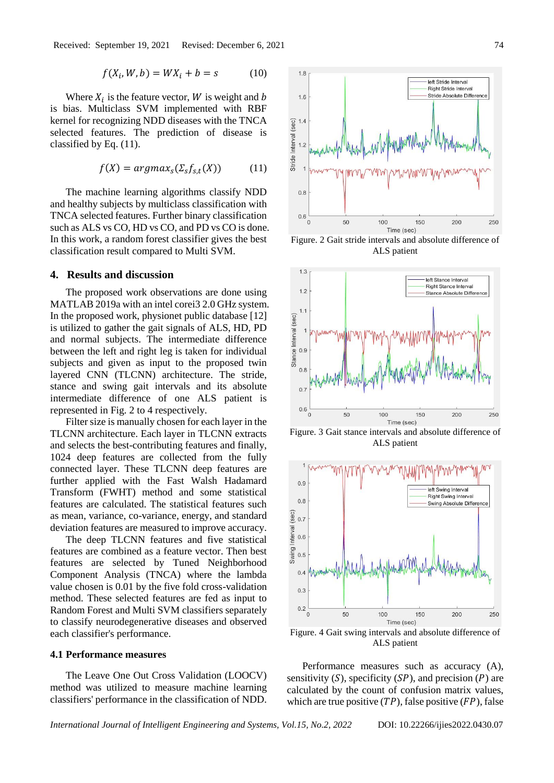$$
f(X_i, W, b) = W X_i + b = s \tag{10}
$$

Where  $X_i$  is the feature vector, W is weight and b is bias. Multiclass SVM implemented with RBF kernel for recognizing NDD diseases with the TNCA selected features. The prediction of disease is classified by Eq. (11).

$$
f(X) = argmax_{s}(\Sigma_{s}f_{s,t}(X))
$$
 (11)

The machine learning algorithms classify NDD and healthy subjects by multiclass classification with TNCA selected features. Further binary classification such as ALS vs CO, HD vs CO, and PD vs CO is done. In this work, a random forest classifier gives the best classification result compared to Multi SVM.

## **4. Results and discussion**

The proposed work observations are done using MATLAB 2019a with an intel corei3 2.0 GHz system. In the proposed work, physionet public database [12] is utilized to gather the gait signals of ALS, HD, PD and normal subjects. The intermediate difference between the left and right leg is taken for individual subjects and given as input to the proposed twin layered CNN (TLCNN) architecture. The stride, stance and swing gait intervals and its absolute intermediate difference of one ALS patient is represented in Fig. 2 to 4 respectively.

Filter size is manually chosen for each layer in the TLCNN architecture. Each layer in TLCNN extracts and selects the best-contributing features and finally, 1024 deep features are collected from the fully connected layer. These TLCNN deep features are further applied with the Fast Walsh Hadamard Transform (FWHT) method and some statistical features are calculated. The statistical features such as mean, variance, co-variance, energy, and standard deviation features are measured to improve accuracy.

The deep TLCNN features and five statistical features are combined as a feature vector. Then best features are selected by Tuned Neighborhood Component Analysis (TNCA) where the lambda value chosen is 0.01 by the five fold cross-validation method. These selected features are fed as input to Random Forest and Multi SVM classifiers separately to classify neurodegenerative diseases and observed each classifier's performance.

# **4.1 Performance measures**

The Leave One Out Cross Validation (LOOCV) method was utilized to measure machine learning classifiers' performance in the classification of NDD.



Figure. 2 Gait stride intervals and absolute difference of ALS patient



Figure. 3 Gait stance intervals and absolute difference of ALS patient



Figure. 4 Gait swing intervals and absolute difference of ALS patient

Performance measures such as accuracy (A), sensitivity  $(S)$ , specificity  $(SP)$ , and precision  $(P)$  are calculated by the count of confusion matrix values, which are true positive  $(TP)$ , false positive  $(FP)$ , false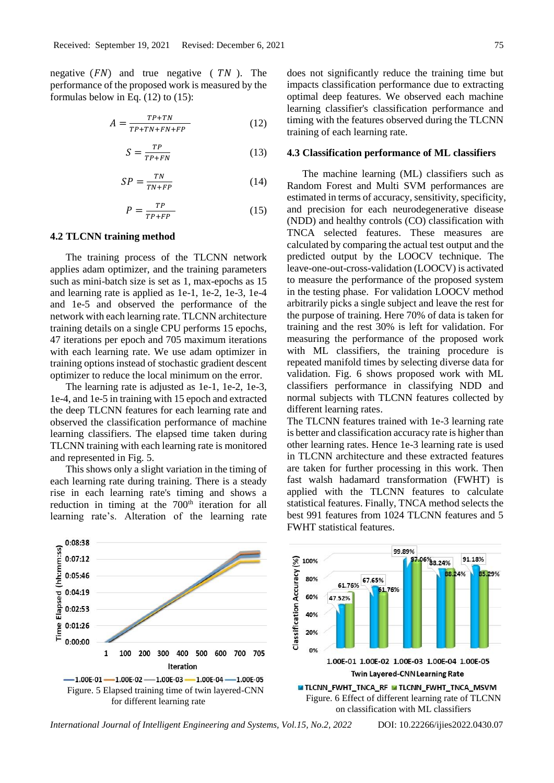negative  $(FN)$  and true negative  $(TN)$ . The performance of the proposed work is measured by the formulas below in Eq. (12) to (15):

$$
A = \frac{TP + TN}{TP + TN + FN + FP} \tag{12}
$$

$$
S = \frac{TP}{TP + FN} \tag{13}
$$

$$
SP = \frac{TN}{TN + FP} \tag{14}
$$

$$
P = \frac{TP}{TP + FP} \tag{15}
$$

#### **4.2 TLCNN training method**

The training process of the TLCNN network applies adam optimizer, and the training parameters such as mini-batch size is set as 1, max-epochs as 15 and learning rate is applied as 1e-1, 1e-2, 1e-3, 1e-4 and 1e-5 and observed the performance of the network with each learning rate. TLCNN architecture training details on a single CPU performs 15 epochs, 47 iterations per epoch and 705 maximum iterations with each learning rate. We use adam optimizer in training options instead of stochastic gradient descent optimizer to reduce the local minimum on the error.

The learning rate is adjusted as 1e-1, 1e-2, 1e-3, 1e-4, and 1e-5 in training with 15 epoch and extracted the deep TLCNN features for each learning rate and observed the classification performance of machine learning classifiers. The elapsed time taken during TLCNN training with each learning rate is monitored and represented in Fig. 5.

This shows only a slight variation in the timing of each learning rate during training. There is a steady rise in each learning rate's timing and shows a reduction in timing at the 700<sup>th</sup> iteration for all learning rate's. Alteration of the learning rate does not significantly reduce the training time but impacts classification performance due to extracting optimal deep features. We observed each machine learning classifier's classification performance and timing with the features observed during the TLCNN training of each learning rate.

#### **4.3 Classification performance of ML classifiers**

The machine learning (ML) classifiers such as Random Forest and Multi SVM performances are estimated in terms of accuracy, sensitivity, specificity, and precision for each neurodegenerative disease (NDD) and healthy controls (CO) classification with TNCA selected features. These measures are calculated by comparing the actual test output and the predicted output by the LOOCV technique. The leave-one-out-cross-validation (LOOCV) is activated to measure the performance of the proposed system in the testing phase. For validation LOOCV method arbitrarily picks a single subject and leave the rest for the purpose of training. Here 70% of data is taken for training and the rest 30% is left for validation. For measuring the performance of the proposed work with ML classifiers, the training procedure is repeated manifold times by selecting diverse data for validation. Fig. 6 shows proposed work with ML classifiers performance in classifying NDD and normal subjects with TLCNN features collected by different learning rates.

The TLCNN features trained with 1e-3 learning rate is better and classification accuracy rate is higher than other learning rates. Hence 1e-3 learning rate is used in TLCNN architecture and these extracted features are taken for further processing in this work. Then fast walsh hadamard transformation (FWHT) is applied with the TLCNN features to calculate statistical features. Finally, TNCA method selects the best 991 features from 1024 TLCNN features and 5 FWHT statistical features.

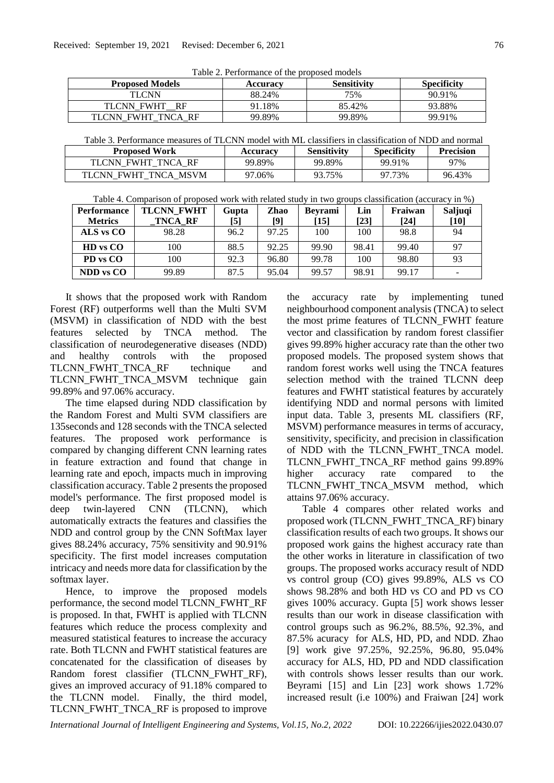Table 2. Performance of the proposed models

| <b>Proposed Models</b>          | Accuracy | <b>Sensitivity</b> | <b>Specificity</b> |
|---------------------------------|----------|--------------------|--------------------|
| TI CNN                          | 88.24%   | 75%                | 90.91%             |
| <b>TLCNN FWHT</b><br>RF         | 91.18%   | 85.42%             | 93.88%             |
| FWHT TNCA<br><b>RE</b><br>TLCNN | 99.89%   | 99.89%             | 99.91%             |

Table 3. Performance measures of TLCNN model with ML classifiers in classification of NDD and normal

| <b>Proposed Work</b>           | <b>Accuracv</b> | Sensitivitv | <b>Specificity</b> | <b>Precision</b> |
|--------------------------------|-----------------|-------------|--------------------|------------------|
| TLCNN FWHT TNCA RF             | 99.89%          | 99.89%      | 99.91%             | 97%              |
| <b>TLCNN</b><br>FWHT TNCA MSVM | 97.06%          | 93.75%      | 97.73%             | 96.43%           |

| Table 4. Comparison of proposed work with related study in two groups classification (accuracy in %) |  |  |
|------------------------------------------------------------------------------------------------------|--|--|
|------------------------------------------------------------------------------------------------------|--|--|

| <b>Performance</b> | <b>TLCNN FWHT</b> | Gupta | Zhao  | <b>Bevrami</b> | Lin   | Fraiwan | Saljuqi |
|--------------------|-------------------|-------|-------|----------------|-------|---------|---------|
| <b>Metrics</b>     | TNCA RF           | [5]   | [9]   | [15]           | [23]  | [24]    | $[10]$  |
| ALS vs CO          | 98.28             | 96.2  | 97.25 | 100            | 100   | 98.8    | 94      |
| <b>HD</b> vs CO    | 100               | 88.5  | 92.25 | 99.90          | 98.41 | 99.40   | 97      |
| PD vs CO           | 100               | 92.3  | 96.80 | 99.78          | 100   | 98.80   | 93      |
| <b>NDD</b> vs CO   | 99.89             | 87.5  | 95.04 | 99.57          | 98.91 | 99.17   |         |

It shows that the proposed work with Random Forest (RF) outperforms well than the Multi SVM (MSVM) in classification of NDD with the best features selected by TNCA method. The classification of neurodegenerative diseases (NDD) and healthy controls with the proposed TLCNN\_FWHT\_TNCA\_RF technique and TLCNN\_FWHT\_TNCA\_MSVM technique gain 99.89% and 97.06% accuracy.

The time elapsed during NDD classification by the Random Forest and Multi SVM classifiers are 135seconds and 128 seconds with the TNCA selected features. The proposed work performance is compared by changing different CNN learning rates in feature extraction and found that change in learning rate and epoch, impacts much in improving classification accuracy. Table 2 presents the proposed model's performance. The first proposed model is deep twin-layered CNN (TLCNN), which automatically extracts the features and classifies the NDD and control group by the CNN SoftMax layer gives 88.24% accuracy, 75% sensitivity and 90.91% specificity. The first model increases computation intricacy and needs more data for classification by the softmax layer.

Hence, to improve the proposed models performance, the second model TLCNN\_FWHT\_RF is proposed. In that, FWHT is applied with TLCNN features which reduce the process complexity and measured statistical features to increase the accuracy rate. Both TLCNN and FWHT statistical features are concatenated for the classification of diseases by Random forest classifier (TLCNN\_FWHT\_RF), gives an improved accuracy of 91.18% compared to the TLCNN model. Finally, the third model, TLCNN\_FWHT\_TNCA\_RF is proposed to improve

the accuracy rate by implementing tuned neighbourhood component analysis (TNCA) to select the most prime features of TLCNN\_FWHT feature vector and classification by random forest classifier gives 99.89% higher accuracy rate than the other two proposed models. The proposed system shows that random forest works well using the TNCA features selection method with the trained TLCNN deep features and FWHT statistical features by accurately identifying NDD and normal persons with limited input data. Table 3, presents ML classifiers (RF, MSVM) performance measures in terms of accuracy, sensitivity, specificity, and precision in classification of NDD with the TLCNN\_FWHT\_TNCA model. TLCNN\_FWHT\_TNCA\_RF method gains 99.89% higher accuracy rate compared to the TLCNN\_FWHT\_TNCA\_MSVM method, which attains 97.06% accuracy.

Table 4 compares other related works and proposed work (TLCNN\_FWHT\_TNCA\_RF) binary classification results of each two groups. It shows our proposed work gains the highest accuracy rate than the other works in literature in classification of two groups. The proposed works accuracy result of NDD vs control group (CO) gives 99.89%, ALS vs CO shows 98.28% and both HD vs CO and PD vs CO gives 100% accuracy. Gupta [5] work shows lesser results than our work in disease classification with control groups such as 96.2%, 88.5%, 92.3%, and 87.5% acuracy for ALS, HD, PD, and NDD. Zhao [9] work give 97.25%, 92.25%, 96.80, 95.04% accuracy for ALS, HD, PD and NDD classification with controls shows lesser results than our work. Beyrami [15] and Lin [23] work shows 1.72% increased result (i.e 100%) and Fraiwan [24] work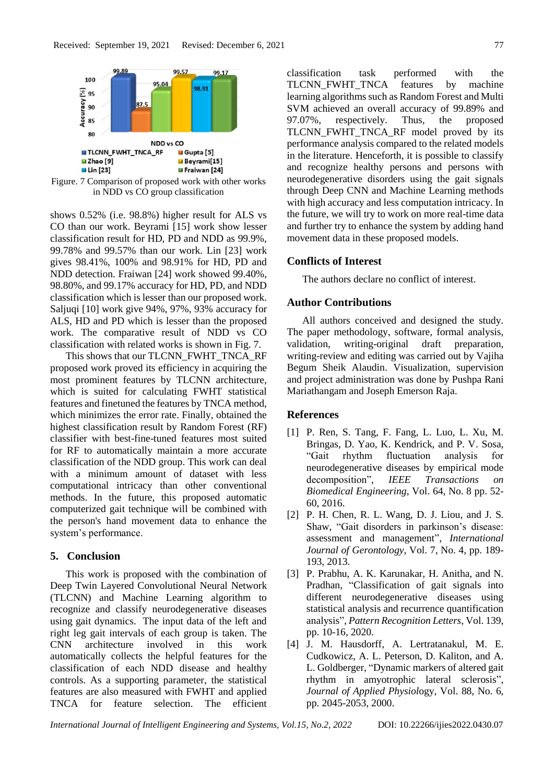

Figure. 7 Comparison of proposed work with other works in NDD vs CO group classification

shows 0.52% (i.e. 98.8%) higher result for ALS vs CO than our work. Beyrami [15] work show lesser classification result for HD, PD and NDD as 99.9%, 99.78% and 99.57% than our work. Lin [23] work gives 98.41%, 100% and 98.91% for HD, PD and NDD detection. Fraiwan [24] work showed 99.40%, 98.80%, and 99.17% accuracy for HD, PD, and NDD classification which is lesser than our proposed work. Saljuqi [10] work give 94%, 97%, 93% accuracy for ALS, HD and PD which is lesser than the proposed work. The comparative result of NDD vs CO classification with related works is shown in Fig. 7.

This shows that our TLCNN\_FWHT\_TNCA\_RF proposed work proved its efficiency in acquiring the most prominent features by TLCNN architecture, which is suited for calculating FWHT statistical features and finetuned the features by TNCA method, which minimizes the error rate. Finally, obtained the highest classification result by Random Forest (RF) classifier with best-fine-tuned features most suited for RF to automatically maintain a more accurate classification of the NDD group. This work can deal with a minimum amount of dataset with less computational intricacy than other conventional methods. In the future, this proposed automatic computerized gait technique will be combined with the person's hand movement data to enhance the system's performance.

# **5. Conclusion**

This work is proposed with the combination of Deep Twin Layered Convolutional Neural Network (TLCNN) and Machine Learning algorithm to recognize and classify neurodegenerative diseases using gait dynamics. The input data of the left and right leg gait intervals of each group is taken. The CNN architecture involved in this work automatically collects the helpful features for the classification of each NDD disease and healthy controls. As a supporting parameter, the statistical features are also measured with FWHT and applied TNCA for feature selection. The efficient classification task performed with the TLCNN\_FWHT\_TNCA features by machine learning algorithms such as Random Forest and Multi SVM achieved an overall accuracy of 99.89% and 97.07%, respectively. Thus, the proposed TLCNN\_FWHT\_TNCA\_RF model proved by its performance analysis compared to the related models in the literature. Henceforth, it is possible to classify and recognize healthy persons and persons with neurodegenerative disorders using the gait signals through Deep CNN and Machine Learning methods with high accuracy and less computation intricacy. In the future, we will try to work on more real-time data and further try to enhance the system by adding hand movement data in these proposed models.

# **Conflicts of Interest**

The authors declare no conflict of interest.

## **Author Contributions**

All authors conceived and designed the study. The paper methodology, software, formal analysis, validation, writing-original draft preparation, writing-review and editing was carried out by Vajiha Begum Sheik Alaudin. Visualization, supervision and project administration was done by Pushpa Rani Mariathangam and Joseph Emerson Raja.

# **References**

- [1] P. Ren, S. Tang, F. Fang, L. Luo, L. Xu, M. Bringas, D. Yao, K. Kendrick, and P. V. Sosa, "Gait rhythm fluctuation analysis for neurodegenerative diseases by empirical mode decomposition", *IEEE Transactions on Biomedical Engineering*, Vol. 64, No. 8 pp. 52- 60, 2016.
- [2] P. H. Chen, R. L. Wang, D. J. Liou, and J. S. Shaw, "Gait disorders in parkinson's disease: assessment and management", *International Journal of Gerontology*, Vol. 7, No. 4, pp. 189- 193, 2013.
- [3] P. Prabhu, A. K. Karunakar, H. Anitha, and N. Pradhan, "Classification of gait signals into different neurodegenerative diseases using statistical analysis and recurrence quantification analysis", *Pattern Recognition Letters*, Vol. 139, pp. 10-16, 2020.
- [4] J. M. Hausdorff, A. Lertratanakul, M. E. Cudkowicz, A. L. Peterson, D. Kaliton, and A. L. Goldberger, "Dynamic markers of altered gait rhythm in amyotrophic lateral sclerosis", *Journal of Applied Physiol*ogy, Vol. 88, No. 6, pp. 2045-2053, 2000.